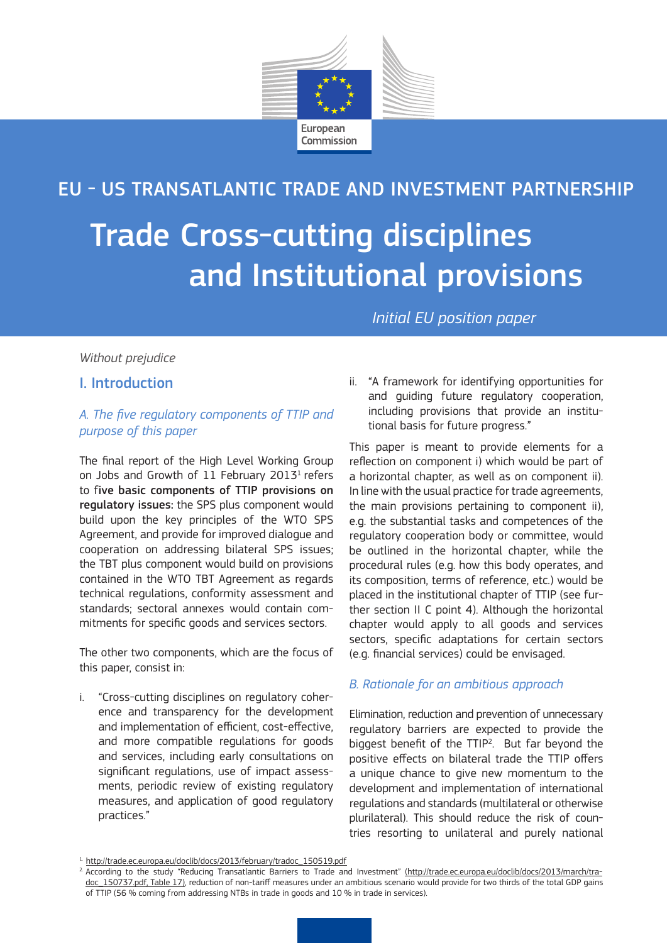

# EU - US TRANSATLANTIC TRADE AND INVESTMENT PARTNERSHIP

# Trade Cross-cutting disciplines and Institutional provisions

*Initial EU position paper*

#### *Without prejudice*

I. Introduction

# *A. The five regulatory components of TTIP and purpose of this paper*

The final report of the High Level Working Group on Jobs and Growth of 11 February 2013<sup>1</sup> refers to five basic components of TTIP provisions on regulatory issues: the SPS plus component would build upon the key principles of the WTO SPS Agreement, and provide for improved dialogue and cooperation on addressing bilateral SPS issues; the TBT plus component would build on provisions contained in the WTO TBT Agreement as regards technical regulations, conformity assessment and standards; sectoral annexes would contain commitments for specific goods and services sectors.

The other two components, which are the focus of this paper, consist in:

i. "Cross-cutting disciplines on regulatory coherence and transparency for the development and implementation of efficient, cost-effective, and more compatible regulations for goods and services, including early consultations on significant regulations, use of impact assessments, periodic review of existing regulatory measures, and application of good regulatory practices."

ii. "A framework for identifying opportunities for and guiding future regulatory cooperation, including provisions that provide an institutional basis for future progress."

This paper is meant to provide elements for a reflection on component i) which would be part of a horizontal chapter, as well as on component ii). In line with the usual practice for trade agreements, the main provisions pertaining to component ii), e.g. the substantial tasks and competences of the regulatory cooperation body or committee, would be outlined in the horizontal chapter, while the procedural rules (e.g. how this body operates, and its composition, terms of reference, etc.) would be placed in the institutional chapter of TTIP (see further section II C point 4). Although the horizontal chapter would apply to all goods and services sectors, specific adaptations for certain sectors (e.g. financial services) could be envisaged.

## *B. Rationale for an ambitious approach*

Elimination, reduction and prevention of unnecessary regulatory barriers are expected to provide the biggest benefit of the TTIP<sup>2</sup>. But far beyond the positive effects on bilateral trade the TTIP offers a unique chance to give new momentum to the development and implementation of international regulations and standards (multilateral or otherwise plurilateral). This should reduce the risk of countries resorting to unilateral and purely national

<sup>1.</sup> http://trade.ec.europa.eu/doclib/docs/2013/february/tradoc\_150519.pdf

<sup>&</sup>lt;sup>2</sup>. According to the study "Reducing Transatlantic Barriers to Trade and Investment" (http://trade.ec.europa.eu/doclib/docs/2013/march/tradoc\_150737.pdf, Table 17), reduction of non-tariff measures under an ambitious scenario would provide for two thirds of the total GDP gains of TTIP (56 % coming from addressing NTBs in trade in goods and 10 % in trade in services).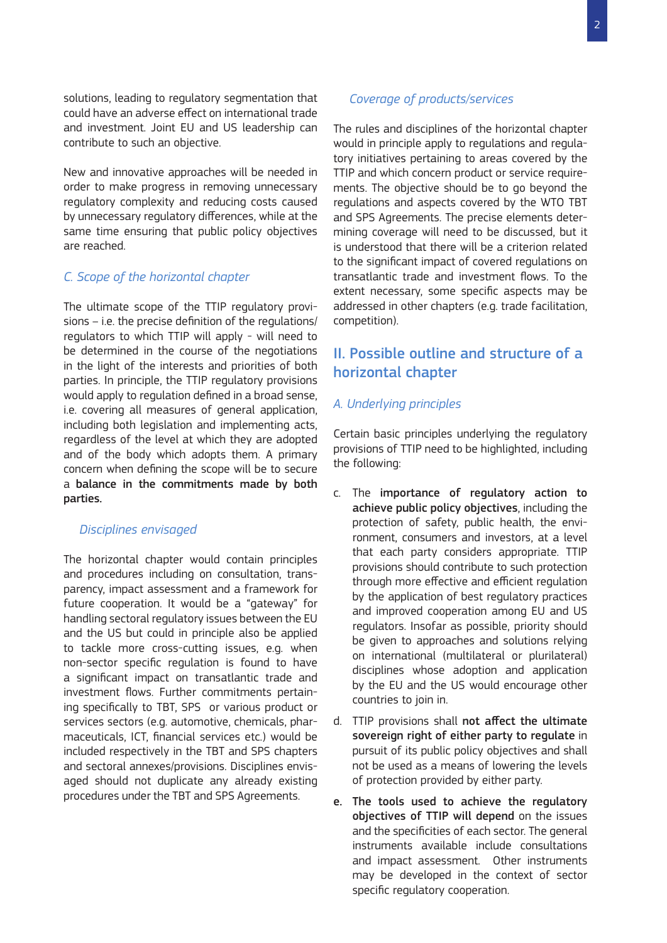solutions, leading to regulatory segmentation that could have an adverse effect on international trade and investment. Joint EU and US leadership can contribute to such an objective.

New and innovative approaches will be needed in order to make progress in removing unnecessary regulatory complexity and reducing costs caused by unnecessary regulatory differences, while at the same time ensuring that public policy objectives are reached.

#### *C. Scope of the horizontal chapter*

The ultimate scope of the TTIP regulatory provisions – i.e. the precise definition of the regulations/ regulators to which TTIP will apply - will need to be determined in the course of the negotiations in the light of the interests and priorities of both parties. In principle, the TTIP regulatory provisions would apply to regulation defined in a broad sense, i.e. covering all measures of general application, including both legislation and implementing acts, regardless of the level at which they are adopted and of the body which adopts them. A primary concern when defining the scope will be to secure a balance in the commitments made by both parties.

#### *Disciplines envisaged*

The horizontal chapter would contain principles and procedures including on consultation, transparency, impact assessment and a framework for future cooperation. It would be a "gateway" for handling sectoral regulatory issues between the EU and the US but could in principle also be applied to tackle more cross-cutting issues, e.g. when non-sector specific regulation is found to have a significant impact on transatlantic trade and investment flows. Further commitments pertaining specifically to TBT, SPS or various product or services sectors (e.g. automotive, chemicals, pharmaceuticals, ICT, financial services etc.) would be included respectively in the TBT and SPS chapters and sectoral annexes/provisions. Disciplines envisaged should not duplicate any already existing procedures under the TBT and SPS Agreements.

#### *Coverage of products/services*

The rules and disciplines of the horizontal chapter would in principle apply to regulations and regulatory initiatives pertaining to areas covered by the TTIP and which concern product or service requirements. The objective should be to go beyond the regulations and aspects covered by the WTO TBT and SPS Agreements. The precise elements determining coverage will need to be discussed, but it is understood that there will be a criterion related to the significant impact of covered regulations on transatlantic trade and investment flows. To the extent necessary, some specific aspects may be addressed in other chapters (e.g. trade facilitation, competition).

# II. Possible outline and structure of a horizontal chapter

# *A. Underlying principles*

Certain basic principles underlying the regulatory provisions of TTIP need to be highlighted, including the following:

- c. The importance of regulatory action to achieve public policy objectives, including the protection of safety, public health, the environment, consumers and investors, at a level that each party considers appropriate. TTIP provisions should contribute to such protection through more effective and efficient regulation by the application of best regulatory practices and improved cooperation among EU and US regulators. Insofar as possible, priority should be given to approaches and solutions relying on international (multilateral or plurilateral) disciplines whose adoption and application by the EU and the US would encourage other countries to join in.
- d. TTIP provisions shall not affect the ultimate sovereign right of either party to regulate in pursuit of its public policy objectives and shall not be used as a means of lowering the levels of protection provided by either party.
- e. The tools used to achieve the regulatory objectives of TTIP will depend on the issues and the specificities of each sector. The general instruments available include consultations and impact assessment. Other instruments may be developed in the context of sector specific regulatory cooperation.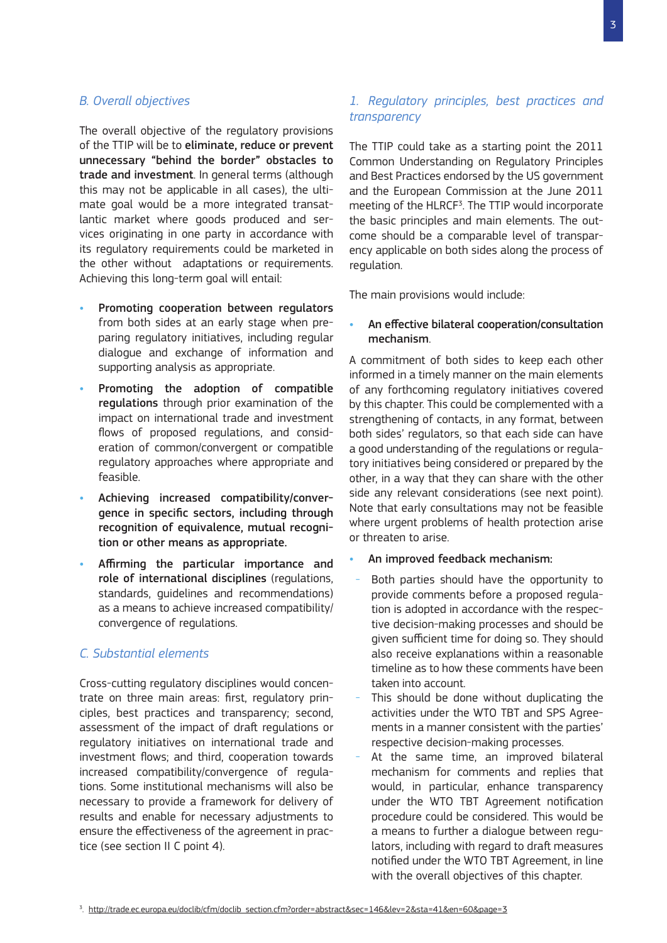#### *B. Overall objectives*

The overall objective of the regulatory provisions of the TTIP will be to eliminate, reduce or prevent unnecessary "behind the border" obstacles to trade and investment. In general terms (although this may not be applicable in all cases), the ultimate goal would be a more integrated transatlantic market where goods produced and services originating in one party in accordance with its regulatory requirements could be marketed in the other without adaptations or requirements. Achieving this long-term goal will entail:

- Promoting cooperation between regulators from both sides at an early stage when preparing regulatory initiatives, including regular dialogue and exchange of information and supporting analysis as appropriate.
- Promoting the adoption of compatible regulations through prior examination of the impact on international trade and investment flows of proposed regulations, and consideration of common/convergent or compatible regulatory approaches where appropriate and feasible.
- Achieving increased compatibility/convergence in specific sectors, including through recognition of equivalence, mutual recognition or other means as appropriate.
- Affirming the particular importance and role of international disciplines (regulations, standards, guidelines and recommendations) as a means to achieve increased compatibility/ convergence of regulations.

#### *C. Substantial elements*

Cross-cutting regulatory disciplines would concentrate on three main areas: first, regulatory principles, best practices and transparency; second, assessment of the impact of draft regulations or regulatory initiatives on international trade and investment flows; and third, cooperation towards increased compatibility/convergence of regulations. Some institutional mechanisms will also be necessary to provide a framework for delivery of results and enable for necessary adjustments to ensure the effectiveness of the agreement in practice (see section II C point 4).

# *1. Regulatory principles, best practices and transparency*

The TTIP could take as a starting point the 2011 Common Understanding on Regulatory Principles and Best Practices endorsed by the US government and the European Commission at the June 2011 meeting of the HLRCF<sup>3</sup>. The TTIP would incorporate the basic principles and main elements. The outcome should be a comparable level of transparency applicable on both sides along the process of regulation.

The main provisions would include:

#### An effective bilateral cooperation/consultation mechanism.

A commitment of both sides to keep each other informed in a timely manner on the main elements of any forthcoming regulatory initiatives covered by this chapter. This could be complemented with a strengthening of contacts, in any format, between both sides' regulators, so that each side can have a good understanding of the regulations or regulatory initiatives being considered or prepared by the other, in a way that they can share with the other side any relevant considerations (see next point). Note that early consultations may not be feasible where urgent problems of health protection arise or threaten to arise.

- An improved feedback mechanism:
	- Both parties should have the opportunity to provide comments before a proposed regulation is adopted in accordance with the respective decision-making processes and should be given sufficient time for doing so. They should also receive explanations within a reasonable timeline as to how these comments have been taken into account.
	- This should be done without duplicating the activities under the WTO TBT and SPS Agreements in a manner consistent with the parties' respective decision-making processes.
	- At the same time, an improved bilateral mechanism for comments and replies that would, in particular, enhance transparency under the WTO TBT Agreement notification procedure could be considered. This would be a means to further a dialogue between regulators, including with regard to draft measures notified under the WTO TBT Agreement, in line with the overall objectives of this chapter.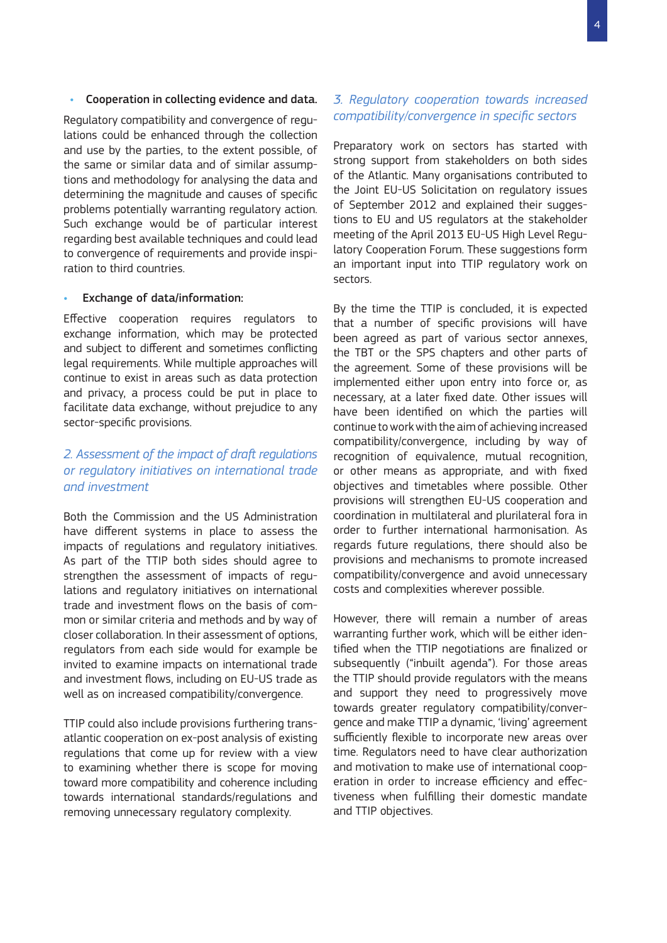#### Cooperation in collecting evidence and data.

Regulatory compatibility and convergence of regulations could be enhanced through the collection and use by the parties, to the extent possible, of the same or similar data and of similar assumptions and methodology for analysing the data and determining the magnitude and causes of specific problems potentially warranting regulatory action. Such exchange would be of particular interest regarding best available techniques and could lead to convergence of requirements and provide inspiration to third countries.

#### Exchange of data/information:

Effective cooperation requires regulators to exchange information, which may be protected and subject to different and sometimes conflicting legal requirements. While multiple approaches will continue to exist in areas such as data protection and privacy, a process could be put in place to facilitate data exchange, without prejudice to any sector-specific provisions.

# *2. Assessment of the impact of draft regulations or regulatory initiatives on international trade and investment*

Both the Commission and the US Administration have different systems in place to assess the impacts of regulations and regulatory initiatives. As part of the TTIP both sides should agree to strengthen the assessment of impacts of regulations and regulatory initiatives on international trade and investment flows on the basis of common or similar criteria and methods and by way of closer collaboration. In their assessment of options, regulators from each side would for example be invited to examine impacts on international trade and investment flows, including on EU-US trade as well as on increased compatibility/convergence.

TTIP could also include provisions furthering transatlantic cooperation on ex-post analysis of existing regulations that come up for review with a view to examining whether there is scope for moving toward more compatibility and coherence including towards international standards/regulations and removing unnecessary regulatory complexity.

### *3. Regulatory cooperation towards increased compatibility/convergence in specific sectors*

Preparatory work on sectors has started with strong support from stakeholders on both sides of the Atlantic. Many organisations contributed to the Joint EU-US Solicitation on regulatory issues of September 2012 and explained their suggestions to EU and US regulators at the stakeholder meeting of the April 2013 EU-US High Level Regulatory Cooperation Forum. These suggestions form an important input into TTIP regulatory work on sectors.

By the time the TTIP is concluded, it is expected that a number of specific provisions will have been agreed as part of various sector annexes, the TBT or the SPS chapters and other parts of the agreement. Some of these provisions will be implemented either upon entry into force or, as necessary, at a later fixed date. Other issues will have been identified on which the parties will continue to work with the aim of achieving increased compatibility/convergence, including by way of recognition of equivalence, mutual recognition, or other means as appropriate, and with fixed objectives and timetables where possible. Other provisions will strengthen EU-US cooperation and coordination in multilateral and plurilateral fora in order to further international harmonisation. As regards future regulations, there should also be provisions and mechanisms to promote increased compatibility/convergence and avoid unnecessary costs and complexities wherever possible.

However, there will remain a number of areas warranting further work, which will be either identified when the TTIP negotiations are finalized or subsequently ("inbuilt agenda"). For those areas the TTIP should provide regulators with the means and support they need to progressively move towards greater regulatory compatibility/convergence and make TTIP a dynamic, 'living' agreement sufficiently flexible to incorporate new areas over time. Regulators need to have clear authorization and motivation to make use of international cooperation in order to increase efficiency and effectiveness when fulfilling their domestic mandate and TTIP objectives.